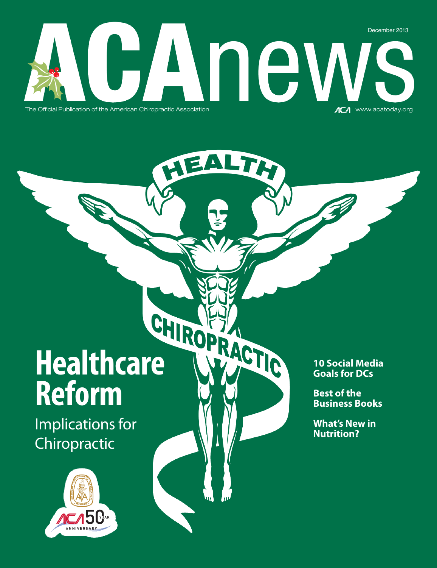## December 2013 INEV The Official Publication of the American Chiropractic Association www.acatoday.org

# Healthcare WACTIC **Reform**

Implications for Chiropractic



#### **10 Social Media Goals for DCs**

**Best of the Business Books**

**What's New in Nutrition?**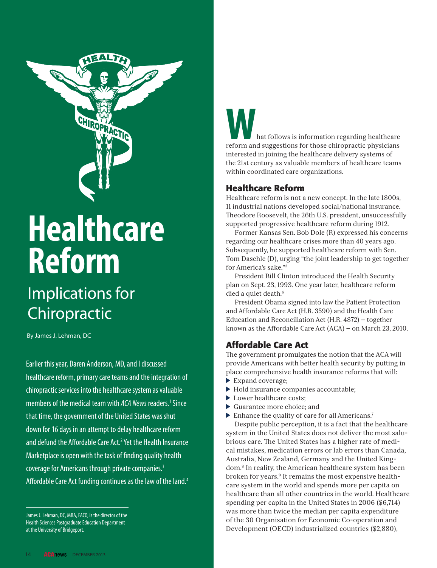

# **Healthcare Reform**

## Implications for Chiropractic

By James J. Lehman, DC

Earlier this year, Daren Anderson, MD, and I discussed healthcare reform, primary care teams and the integration of chiropractic services into the healthcare system as valuable members of the medical team with ACA News readers.<sup>1</sup> Since that time, the government of the United States was shut down for 16 days in an attempt to delay healthcare reform and defund the Affordable Care Act.<sup>2</sup> Yet the Health Insurance Marketplace is open with the task of finding quality health coverage for Americans through private companies.<sup>3</sup> Affordable Care Act funding continues as the law of the land.<sup>4</sup>

### **Ware follows** is information regarding healthcare reform and suggestions for those chiropractic physicians interested in joining the healthcare delivery systems of the 21st century as valuable members of healthcare teams within coordinated care organizations.

#### **Healthcare Reform**

Healthcare reform is not a new concept. In the late 1800s, 11 industrial nations developed social/national insurance. Theodore Roosevelt, the 26th U.S. president, unsuccessfully supported progressive healthcare reform during 1912.

Former Kansas Sen. Bob Dole (R) expressed his concerns regarding our healthcare crises more than 40 years ago. Subsequently, he supported healthcare reform with Sen. Tom Daschle (D), urging "the joint leadership to get together for America's sake."*<sup>5</sup>*

President Bill Clinton introduced the Health Security plan on Sept. 23, 1993. One year later, healthcare reform died a quiet death.<sup>6</sup>

President Obama signed into law the Patient Protection and Affordable Care Act (H.R. 3590) and the Health Care Education and Reconciliation Act (H.R. 4872) — together known as the Affordable Care Act (ACA) — on March 23, 2010.

#### **Affordable Care Act**

The government promulgates the notion that the ACA will provide Americans with better health security by putting in place comprehensive health insurance reforms that will:

- Expand coverage;
- Hold insurance companies accountable;
- Lower healthcare costs:
- Guarantee more choice; and
- $\blacktriangleright$  Enhance the quality of care for all Americans.<sup>7</sup>

Despite public perception, it is a fact that the healthcare system in the United States does not deliver the most salubrious care. The United States has a higher rate of medical mistakes, medication errors or lab errors than Canada, Australia, New Zealand, Germany and the United Kingdom.8 In reality, the American healthcare system has been broken for years.9 It remains the most expensive healthcare system in the world and spends more per capita on healthcare than all other countries in the world. Healthcare spending per capita in the United States in 2006 (\$6,714) was more than twice the median per capita expenditure of the 30 Organisation for Economic Co-operation and Development (OECD) industrialized countries (\$2,880),

James J. Lehman, DC, MBA, FACO, is the director of the Health Sciences Postgraduate Education Department at the University of Bridgeport.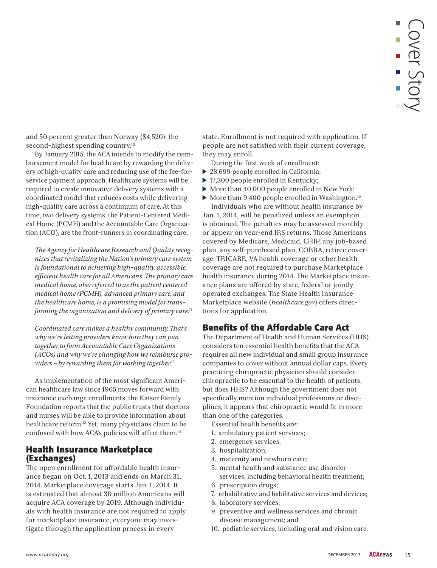and 50 percent greater than Norway (\$4,520), the second-highest spending country.<sup>10</sup>

By January 2015, the ACA intends to modify the reimbursement model for healthcare by rewarding the delivery of high-quality care and reducing use of the fee-forservice payment approach. Healthcare systems will be required to create innovative delivery systems with a coordinated model that reduces costs while delivering high-quality care across a continuum of care. At this time, two delivery systems, the Patient-Centered Medical Home (PCMH) and the Accountable Care Organization (ACO), are the front-runners in coordinating care.

 *-e Agency for Healthcare Research and Quality recognizes that revitalizing the Nation's primary care system is foundational to achieving high-quality, accessible,*  efficient health care for all Americans. The primary care *medical home, also referred to as the patient centered medical home (PCMH), advanced primary care, and the healthcare home, is a promising model for transforming the organization and delivery of primary care.*<sup>11</sup>

*Coordinated care makes a healthy community. That's why we're letting providers know how they can join together to form Accountable Care Organizations (ACOs) and why we're changing how we reimburse providers – by rewarding them for working together.*<sup>12</sup>

As implementation of the most significant American healthcare law since 1965 moves forward with insurance exchange enrollments, the Kaiser Family Foundation reports that the public trusts that doctors and nurses will be able to provide information about healthcare reform.<sup>13</sup> Yet, many physicians claim to be confused with how ACA's policies will affect them.14

#### **Health Insurance Marketplace (Exchanges)**

-e open enrollment for affordable health insurance began on Oct. 1, 2013 and ends on March 31, 2014. Marketplace coverage starts Jan. 1, 2014. It is estimated that almost 30 million Americans will acquire ACA coverage by 2019. Although individuals with health insurance are not required to apply for marketplace insurance, everyone may investigate through the application process in every

state. Enrollment is not required with application. If people are not satisfied with their current coverage, they may enroll.

During the first week of enrollment:

- ▶ 28,699 people enrolled in California;
- ▶ 17,300 people enrolled in Kentucky;
- More than 40,000 people enrolled in New York;
- $\blacktriangleright$  More than 9,400 people enrolled in Washington.<sup>15</sup>

Individuals who are without health insurance by Jan. 1, 2014, will be penalized unless an exemption is obtained. The penalties may be assessed monthly or appear on year-end IRS returns. Those Americans covered by Medicare, Medicaid, CHIP, any job-based plan, any self-purchased plan, COBRA, retiree coverage, TRICARE, VA health coverage or other health coverage are not required to purchase Marketplace health insurance during 2014. The Marketplace insurance plans are offered by state, federal or jointly operated exchanges. The State Health Insurance Marketplace website **(***healthcare.gov*) offers directions for application.

#### **Benefits of the Affordable Care Act**

The Department of Health and Human Services (HHS) considers ten essential health benefits that the ACA requires all new individual and small group insurance companies to cover without annual dollar caps. Every practicing chiropractic physician should consider chiropractic to be essential to the health of patients, but does HHS? Although the government does not specifically mention individual professions or disciplines, it appears that chiropractic would fit in more than one of the categories.

- Essential health benefits are:
- 1. ambulatory patient services;
- 2. emergency services;
- 3. hospitalization;
- 4. maternity and newborn care;
- 5. mental health and substance use disorder services, including behavioral health treatment;
- 6. prescription drugs;
- 7. rehabilitative and habilitative services and devices;
- 8. laboratory services;
- 9. preventive and wellness services and chronic disease management; and
- 10. pediatric services, including oral and vision care.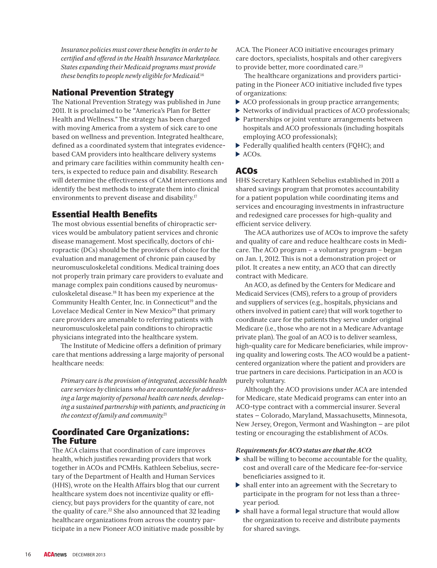*Insurance policies must cover these benefits in order to be certified and offered in the Health Insurance Marketplace. States expanding their Medicaid programs must provide these benefits to people newly eligible for Medicaid.*<sup>16</sup>

#### **National Prevention Strategy**

The National Prevention Strategy was published in June 2011. It is proclaimed to be "America's Plan for Better Health and Wellness." The strategy has been charged with moving America from a system of sick care to one based on wellness and prevention. Integrated healthcare, defined as a coordinated system that integrates evidencebased CAM providers into healthcare delivery systems and primary care facilities within community health centers, is expected to reduce pain and disability. Research will determine the effectiveness of CAM interventions and identify the best methods to integrate them into clinical environments to prevent disease and disability.<sup>17</sup>

#### **Essential Health Benefits**

The most obvious essential benefits of chiropractic services would be ambulatory patient services and chronic disease management. Most specifically, doctors of chiropractic (DCs) should be the providers of choice for the evaluation and management of chronic pain caused by neuromusculoskeletal conditions. Medical training does not properly train primary care providers to evaluate and manage complex pain conditions caused by neuromusculoskeletal disease.18 It has been my experience at the Community Health Center, Inc. in Connecticut<sup>19</sup> and the Lovelace Medical Center in New Mexico<sup>20</sup> that primary care providers are amenable to referring patients with neuromusculoskeletal pain conditions to chiropractic physicians integrated into the healthcare system.

The Institute of Medicine offers a definition of primary care that mentions addressing a large majority of personal healthcare needs:

 *Primary care is the provision of integrated, accessible health care services by* clinicians *who are accountable for addressing a large majority of personal health care needs, developing a sustained partnership with patients, and practicing in the context of family and community.*<sup>21</sup>

#### **Coordinated Care Organizations: The Future**

The ACA claims that coordination of care improves health, which justifies rewarding providers that work together in ACOs and PCMHs. Kathleen Sebelius, secretary of the Department of Health and Human Services (HHS), wrote on the Health Affairs blog that our current healthcare system does not incentivize quality or efficiency, but pays providers for the quantity of care, not the quality of care.<sup>22</sup> She also announced that  $32$  leading healthcare organizations from across the country participate in a new Pioneer ACO initiative made possible by

ACA. The Pioneer ACO initiative encourages primary care doctors, specialists, hospitals and other caregivers to provide better, more coordinated care.23

The healthcare organizations and providers participating in the Pioneer ACO initiative included five types of organizations:

- ACO professionals in group practice arrangements;
- Networks of individual practices of ACO professionals;
- Partnerships or joint venture arrangements between hospitals and ACO professionals (including hospitals employing ACO professionals);
- Federally qualified health centers (FQHC); and
- $\blacktriangleright$  ACOs.

#### **ACOs**

HHS Secretary Kathleen Sebelius established in 2011 a shared savings program that promotes accountability for a patient population while coordinating items and services and encouraging investments in infrastructure and redesigned care processes for high-quality and efficient service delivery.

The ACA authorizes use of ACOs to improve the safety and quality of care and reduce healthcare costs in Medicare. The ACO program – a voluntary program – began on Jan. 1, 2012. This is not a demonstration project or pilot. It creates a new entity, an ACO that can directly contract with Medicare.

An ACO, as defined by the Centers for Medicare and Medicaid Services (CMS), refers to a group of providers and suppliers of services (e.g., hospitals, physicians and others involved in patient care) that will work together to coordinate care for the patients they serve under original Medicare (i.e., those who are not in a Medicare Advantage private plan). The goal of an ACO is to deliver seamless, high-quality care for Medicare beneficiaries, while improving quality and lowering costs. The ACO would be a patientcentered organization where the patient and providers are true partners in care decisions. Participation in an ACO is purely voluntary.

Although the ACO provisions under ACA are intended for Medicare, state Medicaid programs can enter into an ACO-type contract with a commercial insurer. Several states — Colorado, Maryland, Massachusetts, Minnesota, New Jersey, Oregon, Vermont and Washington — are pilot testing or encouraging the establishment of ACOs.

- **Requirements for ACO** status are that the ACO: cost and overall care of the Medicare fee-for-service beneficiaries assigned to it.
- shall enter into an agreement with the Secretary to participate in the program for not less than a threeyear period.
- shall have a formal legal structure that would allow the organization to receive and distribute payments for shared savings.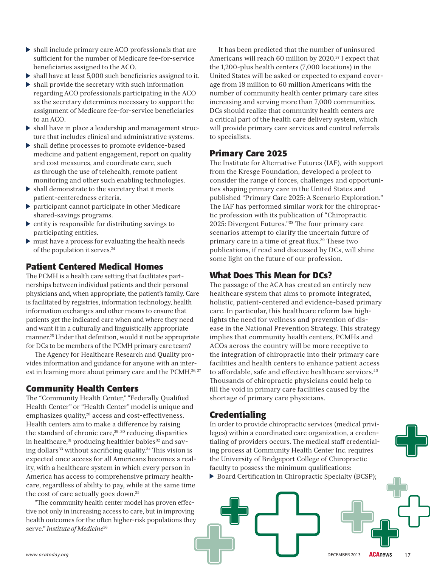- shall include primary care ACO professionals that are sufficient for the number of Medicare fee-for-service beneficiaries assigned to the ACO.
- shall have at least 5,000 such beneficiaries assigned to it.
- $\triangleright$  shall provide the secretary with such information regarding ACO professionals participating in the ACO as the secretary determines necessary to support the assignment of Medicare fee-for-service beneficiaries to an ACO.
- shall have in place a leadership and management structure that includes clinical and administrative systems.
- shall define processes to promote evidence-based medicine and patient engagement, report on quality and cost measures, and coordinate care, such as through the use of telehealth, remote patient monitoring and other such enabling technologies.
- shall demonstrate to the secretary that it meets patient-centeredness criteria.
- participant cannot participate in other Medicare shared-savings programs.
- $\blacktriangleright$  entity is responsible for distributing savings to participating entities.
- $\triangleright$  must have a process for evaluating the health needs of the population it serves.<sup>24</sup>

#### **Patient Centered Medical Homes**

The PCMH is a health care setting that facilitates partnerships between individual patients and their personal physicians and, when appropriate, the patient's family. Care is facilitated by registries, information technology, health information exchanges and other means to ensure that patients get the indicated care when and where they need and want it in a culturally and linguistically appropriate manner.25 Under that definition, would it not be appropriate for DCs to be members of the PCMH primary care team?

-e Agency for Healthcare Research and Quality provides information and guidance for anyone with an interest in learning more about primary care and the PCMH.<sup>26, 27</sup>

#### **Community Health Centers**

The "Community Health Center," "Federally Qualified Health Center" or "Health Center" model is unique and emphasizes quality,<sup>28</sup> access and cost-effectiveness. Health centers aim to make a difference by raising the standard of chronic care, $29, 30$  reducing disparities in healthcare, $31$  producing healthier babies $32$  and saving dollars<sup>33</sup> without sacrificing quality.<sup>34</sup> This vision is expected once access for all Americans becomes a reality, with a healthcare system in which every person in America has access to comprehensive primary healthcare, regardless of ability to pay, while at the same time the cost of care actually goes down.35

"The community health center model has proven effective not only in increasing access to care, but in improving health outcomes for the often higher-risk populations they serve." *Institute of Medicine*<sup>36</sup>

It has been predicted that the number of uninsured Americans will reach 60 million by 2020.<sup>37</sup> I expect that the 1,200-plus health centers (7,000 locations) in the United States will be asked or expected to expand coverage from 18 million to 60 million Americans with the number of community health center primary care sites increasing and serving more than 7,000 communities. DCs should realize that community health centers are a critical part of the health care delivery system, which will provide primary care services and control referrals to specialists.

#### **Primary Care 2025**

The Institute for Alternative Futures (IAF), with support from the Kresge Foundation, developed a project to consider the range of forces, challenges and opportunities shaping primary care in the United States and published "Primary Care 2025: A Scenario Exploration." The IAF has performed similar work for the chiropractic profession with its publication of "Chiropractic 2025: Divergent Futures."<sup>38</sup> The four primary care scenarios attempt to clarify the uncertain future of primary care in a time of great flux.<sup>39</sup> These two publications, if read and discussed by DCs, will shine some light on the future of our profession.

#### **What Does This Mean for DCs?**

The passage of the ACA has created an entirely new healthcare system that aims to promote integrated, holistic, patient-centered and evidence-based primary care. In particular, this healthcare reform law highlights the need for wellness and prevention of disease in the National Prevention Strategy. This strategy implies that community health centers, PCMHs and ACOs across the country will be more receptive to the integration of chiropractic into their primary care facilities and health centers to enhance patient access to affordable, safe and effective healthcare services.<sup>40</sup> Thousands of chiropractic physicians could help to fill the void in primary care facilities caused by the shortage of primary care physicians.

#### **Credentialing**

In order to provide chiropractic services (medical privileges) within a coordinated care organization, a credentialing of providers occurs. The medical staff credentialing process at Community Health Center Inc. requires the University of Bridgeport College of Chiropractic faculty to possess the minimum qualifications:

Board Certification in Chiropractic Specialty (BCSP);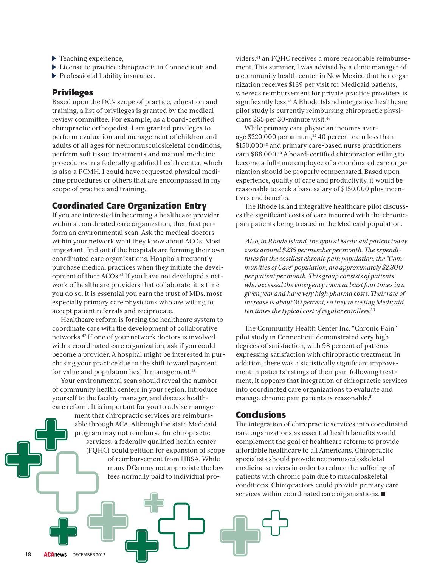- ▶ Teaching experience;
- License to practice chiropractic in Connecticut; and
- Professional liability insurance.

#### **Privileges**

Based upon the DC's scope of practice, education and training, a list of privileges is granted by the medical review committee. For example, as a board-certified chiropractic orthopedist, I am granted privileges to perform evaluation and management of children and adults of all ages for neuromusculoskeletal conditions, perform soft tissue treatments and manual medicine procedures in a federally qualified health center, which is also a PCMH. I could have requested physical medicine procedures or others that are encompassed in my scope of practice and training.

#### **Coordinated Care Organization Entry**

If you are interested in becoming a healthcare provider within a coordinated care organization, then first perform an environmental scan. Ask the medical doctors within your network what they know about ACOs. Most important, find out if the hospitals are forming their own coordinated care organizations. Hospitals frequently purchase medical practices when they initiate the development of their ACOs.<sup>41</sup> If you have not developed a network of healthcare providers that collaborate, it is time you do so. It is essential you earn the trust of MDs, most especially primary care physicians who are willing to accept patient referrals and reciprocate.

Healthcare reform is forcing the healthcare system to coordinate care with the development of collaborative networks.42 If one of your network doctors is involved with a coordinated care organization, ask if you could become a provider. A hospital might be interested in purchasing your practice due to the shift toward payment for value and population health management.<sup>43</sup>

Your environmental scan should reveal the number of community health centers in your region. Introduce yourself to the facility manager, and discuss healthcare reform. It is important for you to advise manage-

> ment that chiropractic services are reimbursable through ACA. Although the state Medicaid program may not reimburse for chiropractic services, a federally qualified health center (FQHC) could petition for expansion of scope of reimbursement from HRSA. While many DCs may not appreciate the low fees normally paid to individual pro-

viders,44 an FQHC receives a more reasonable reimbursement. This summer, I was advised by a clinic manager of a community health center in New Mexico that her organization receives \$139 per visit for Medicaid patients, whereas reimbursement for private practice providers is significantly less.<sup>45</sup> A Rhode Island integrative healthcare pilot study is currently reimbursing chiropractic physicians \$55 per 30-minute visit.46

While primary care physician incomes average \$220,000 per annum, $47$  40 percent earn less than \$150,00048 and primary care-based nurse practitioners earn \$86,000.49 A board-certified chiropractor willing to become a full-time employee of a coordinated care organization should be properly compensated. Based upon experience, quality of care and productivity, it would be reasonable to seek a base salary of \$150,000 plus incentives and benefits.

-e Rhode Island integrative healthcare pilot discusses the significant costs of care incurred with the chronicpain patients being treated in the Medicaid population.

 *Also, in Rhode Island, the typical Medicaid patient today*  costs around \$235 per member per month. The expendi*tures for the costliest chronic pain population, the "Communities of Care" population, are approximately \$2,300 per patient per month. -is group consists of patients who accessed the emergency room at least four times in a*  given year and have very high pharma costs. Their rate of *increase is about 30 percent, so they're costing Medicaid ten times the typical cost of regular enrollees.*<sup>50</sup>

The Community Health Center Inc. "Chronic Pain" pilot study in Connecticut demonstrated very high degrees of satisfaction, with 98 percent of patients expressing satisfaction with chiropractic treatment. In addition, there was a statistically significant improvement in patients' ratings of their pain following treatment. It appears that integration of chiropractic services into coordinated care organizations to evaluate and manage chronic pain patients is reasonable.<sup>51</sup>

#### **Conclusions**

The integration of chiropractic services into coordinated care organizations as essential health benefits would complement the goal of healthcare reform: to provide affordable healthcare to all Americans. Chiropractic specialists should provide neuromusculoskeletal medicine services in order to reduce the suffering of patients with chronic pain due to musculoskeletal conditions. Chiropractors could provide primary care services within coordinated care organizations.